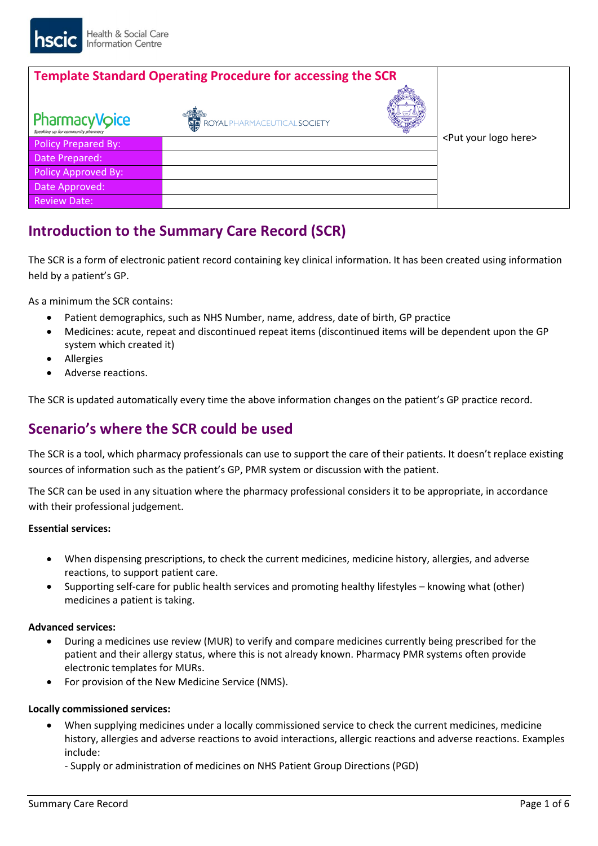| <b>Template Standard Operating Procedure for accessing the SCR</b> |                                        |                                     |
|--------------------------------------------------------------------|----------------------------------------|-------------------------------------|
|                                                                    |                                        |                                     |
| <b>PharmacyVoice</b><br>Speaking up for community pharmacy         | <b>WE ROYAL PHARMACEUTICAL SOCIETY</b> |                                     |
| <b>Policy Prepared By:</b>                                         |                                        | <put here="" logo="" your=""></put> |
| Date Prepared:                                                     |                                        |                                     |
| <b>Policy Approved By:</b>                                         |                                        |                                     |
| Date Approved:                                                     |                                        |                                     |
| <b>Review Date:</b>                                                |                                        |                                     |

# **Introduction to the Summary Care Record (SCR)**

The SCR is a form of electronic patient record containing key clinical information. It has been created using information held by a patient's GP.

As a minimum the SCR contains:

- Patient demographics, such as NHS Number, name, address, date of birth, GP practice
- Medicines: acute, repeat and discontinued repeat items (discontinued items will be dependent upon the GP system which created it)
- **•** Allergies
- Adverse reactions.

The SCR is updated automatically every time the above information changes on the patient's GP practice record.

## **Scenario's where the SCR could be used**

The SCR is a tool, which pharmacy professionals can use to support the care of their patients. It doesn't replace existing sources of information such as the patient's GP, PMR system or discussion with the patient.

The SCR can be used in any situation where the pharmacy professional considers it to be appropriate, in accordance with their professional judgement.

### **Essential services:**

- When dispensing prescriptions, to check the current medicines, medicine history, allergies, and adverse reactions, to support patient care.
- Supporting self-care for public health services and promoting healthy lifestyles knowing what (other) medicines a patient is taking.

### **Advanced services:**

- During a medicines use review (MUR) to verify and compare medicines currently being prescribed for the patient and their allergy status, where this is not already known. Pharmacy PMR systems often provide electronic templates for MURs.
- For provision of the New Medicine Service (NMS).

### **Locally commissioned services:**

- When supplying medicines under a locally commissioned service to check the current medicines, medicine history, allergies and adverse reactions to avoid interactions, allergic reactions and adverse reactions. Examples include:
	- Supply or administration of medicines on NHS Patient Group Directions (PGD)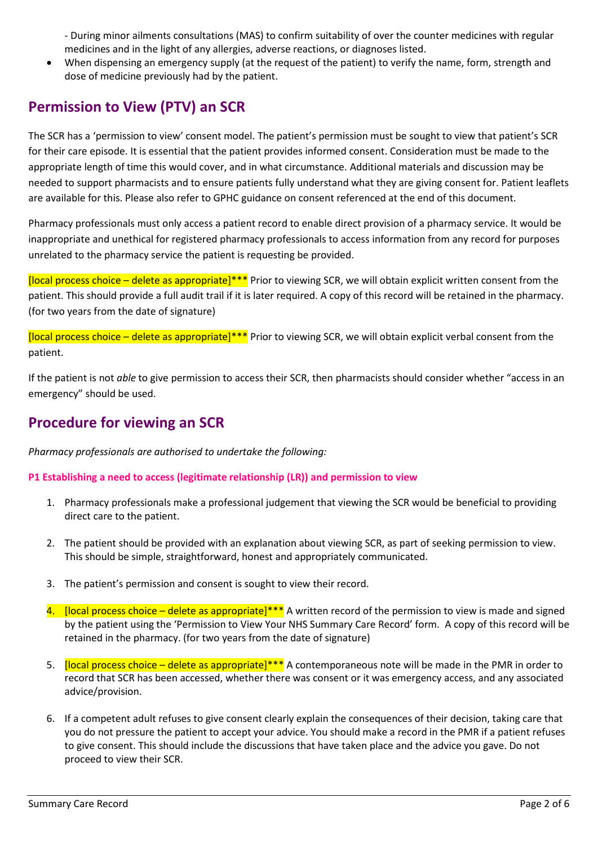- During minor ailments consultations (MAS) to confirm suitability of over the counter medicines with regular medicines and in the light of any allergies, adverse reactions, or diagnoses listed.

 When dispensing an emergency supply (at the request of the patient) to verify the name, form, strength and dose of medicine previously had by the patient.

## **Permission to View (PTV) an SCR**

The SCR has a 'permission to view' consent model. The patient's permission must be sought to view that patient's SCR for their care episode. It is essential that the patient provides informed consent. Consideration must be made to the appropriate length of time this would cover, and in what circumstance. Additional materials and discussion may be needed to support pharmacists and to ensure patients fully understand what they are giving consent for. Patient leaflets are available for this. Please also refer to GPHC guidance on consent referenced at the end of this document.

Pharmacy professionals must only access a patient record to enable direct provision of a pharmacy service. It would be inappropriate and unethical for registered pharmacy professionals to access information from any record for purposes unrelated to the pharmacy service the patient is requesting be provided.

[local process choice – delete as appropriate]\*\*\* Prior to viewing SCR, we will obtain explicit written consent from the patient. This should provide a full audit trail if it is later required. A copy of this record will be retained in the pharmacy. (for two years from the date of signature)

 $\frac{1}{2}$  [local process choice – delete as appropriate]\*\*\* Prior to viewing SCR, we will obtain explicit verbal consent from the patient.

If the patient is not *able* to give permission to access their SCR, then pharmacists should consider whether "access in an emergency" should be used.

## **Procedure for viewing an SCR**

*Pharmacy professionals are authorised to undertake the following:*

### **P1 Establishing a need to access (legitimate relationship (LR)) and permission to view**

- 1. Pharmacy professionals make a professional judgement that viewing the SCR would be beneficial to providing direct care to the patient.
- 2. The patient should be provided with an explanation about viewing SCR, as part of seeking permission to view. This should be simple, straightforward, honest and appropriately communicated.
- 3. The patient's permission and consent is sought to view their record.
- 4. [local process choice delete as appropriate]\*\*\* A written record of the permission to view is made and signed by the patient using the 'Permission to View Your NHS Summary Care Record' form. A copy of this record will be retained in the pharmacy. (for two years from the date of signature)
- 5. **[local process choice delete as appropriate]\*\*\*** A contemporaneous note will be made in the PMR in order to record that SCR has been accessed, whether there was consent or it was emergency access, and any associated advice/provision.
- 6. If a competent adult refuses to give consent clearly explain the consequences of their decision, taking care that you do not pressure the patient to accept your advice. You should make a record in the PMR if a patient refuses to give consent. This should include the discussions that have taken place and the advice you gave. Do not proceed to view their SCR.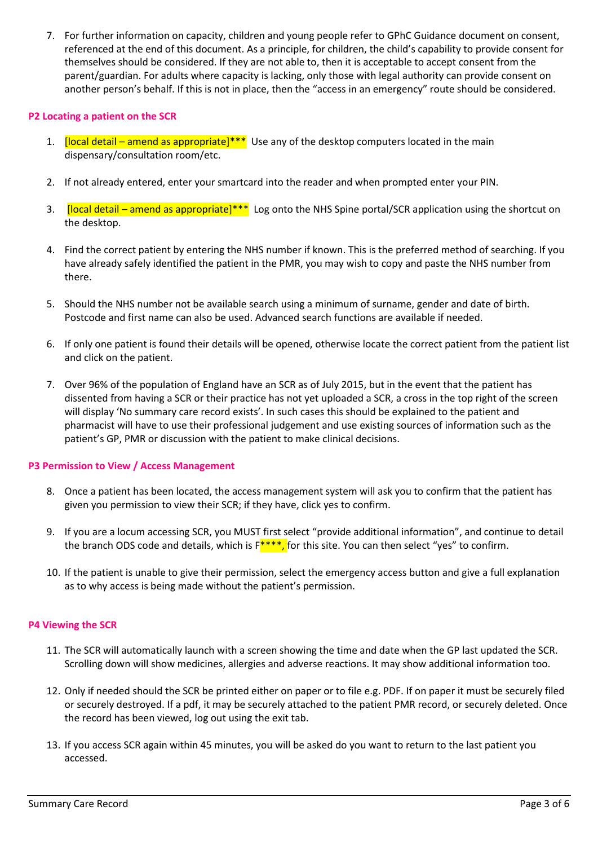7. For further information on capacity, children and young people refer to GPhC Guidance document on consent, referenced at the end of this document. As a principle, for children, the child's capability to provide consent for themselves should be considered. If they are not able to, then it is acceptable to accept consent from the parent/guardian. For adults where capacity is lacking, only those with legal authority can provide consent on another person's behalf. If this is not in place, then the "access in an emergency" route should be considered.

### **P2 Locating a patient on the SCR**

- 1. **[local detail amend as appropriate]\*\*\*** Use any of the desktop computers located in the main dispensary/consultation room/etc.
- 2. If not already entered, enter your smartcard into the reader and when prompted enter your PIN.
- 3. **[local detail amend as appropriate]\*\*\*** Log onto the NHS Spine portal/SCR application using the shortcut on the desktop.
- 4. Find the correct patient by entering the NHS number if known. This is the preferred method of searching. If you have already safely identified the patient in the PMR, you may wish to copy and paste the NHS number from there.
- 5. Should the NHS number not be available search using a minimum of surname, gender and date of birth. Postcode and first name can also be used. Advanced search functions are available if needed.
- 6. If only one patient is found their details will be opened, otherwise locate the correct patient from the patient list and click on the patient.
- 7. Over 96% of the population of England have an SCR as of July 2015, but in the event that the patient has dissented from having a SCR or their practice has not yet uploaded a SCR, a cross in the top right of the screen will display 'No summary care record exists'. In such cases this should be explained to the patient and pharmacist will have to use their professional judgement and use existing sources of information such as the patient's GP, PMR or discussion with the patient to make clinical decisions.

### **P3 Permission to View / Access Management**

- 8. Once a patient has been located, the access management system will ask you to confirm that the patient has given you permission to view their SCR; if they have, click yes to confirm.
- 9. If you are a locum accessing SCR, you MUST first select "provide additional information", and continue to detail the branch ODS code and details, which is  $F^{***}$ , for this site. You can then select "yes" to confirm.
- 10. If the patient is unable to give their permission, select the emergency access button and give a full explanation as to why access is being made without the patient's permission.

### **P4 Viewing the SCR**

- 11. The SCR will automatically launch with a screen showing the time and date when the GP last updated the SCR. Scrolling down will show medicines, allergies and adverse reactions. It may show additional information too.
- 12. Only if needed should the SCR be printed either on paper or to file e.g. PDF. If on paper it must be securely filed or securely destroyed. If a pdf, it may be securely attached to the patient PMR record, or securely deleted. Once the record has been viewed, log out using the exit tab.
- 13. If you access SCR again within 45 minutes, you will be asked do you want to return to the last patient you accessed.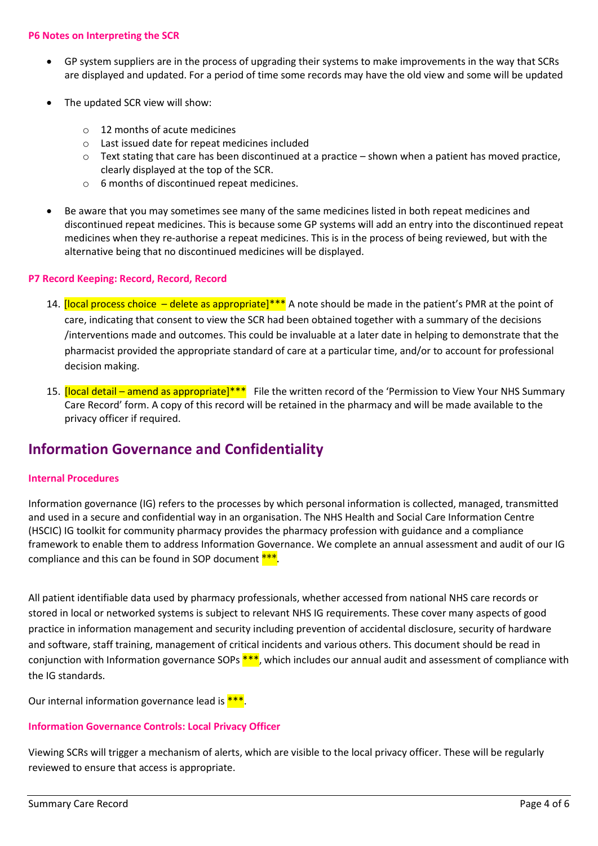### **P6 Notes on Interpreting the SCR**

- GP system suppliers are in the process of upgrading their systems to make improvements in the way that SCRs are displayed and updated. For a period of time some records may have the old view and some will be updated
- The updated SCR view will show:
	- o 12 months of acute medicines
	- o Last issued date for repeat medicines included
	- o Text stating that care has been discontinued at a practice shown when a patient has moved practice, clearly displayed at the top of the SCR.
	- o 6 months of discontinued repeat medicines.
- Be aware that you may sometimes see many of the same medicines listed in both repeat medicines and discontinued repeat medicines. This is because some GP systems will add an entry into the discontinued repeat medicines when they re-authorise a repeat medicines. This is in the process of being reviewed, but with the alternative being that no discontinued medicines will be displayed.

### **P7 Record Keeping: Record, Record, Record**

- 14. [local process choice delete as appropriate]\*\*\* A note should be made in the patient's PMR at the point of care, indicating that consent to view the SCR had been obtained together with a summary of the decisions /interventions made and outcomes. This could be invaluable at a later date in helping to demonstrate that the pharmacist provided the appropriate standard of care at a particular time, and/or to account for professional decision making.
- 15. [local detail amend as appropriate]\*\*\* File the written record of the 'Permission to View Your NHS Summary Care Record' form. A copy of this record will be retained in the pharmacy and will be made available to the privacy officer if required.

### **Information Governance and Confidentiality**

#### **Internal Procedures**

Information governance (IG) refers to the processes by which personal information is collected, managed, transmitted and used in a secure and confidential way in an organisation. The NHS Health and Social Care Information Centre (HSCIC) IG toolkit for community pharmacy provides the pharmacy profession with guidance and a compliance framework to enable them to address Information Governance. We complete an annual assessment and audit of our IG compliance and this can be found in SOP document  $***$ .

All patient identifiable data used by pharmacy professionals, whether accessed from national NHS care records or stored in local or networked systems is subject to relevant NHS IG requirements. These cover many aspects of good practice in information management and security including prevention of accidental disclosure, security of hardware and software, staff training, management of critical incidents and various others. This document should be read in conjunction with Information governance SOPs \*\*\*, which includes our annual audit and assessment of compliance with the IG standards.

Our internal information governance lead is  $***$ .

### **Information Governance Controls: Local Privacy Officer**

Viewing SCRs will trigger a mechanism of alerts, which are visible to the local privacy officer. These will be regularly reviewed to ensure that access is appropriate.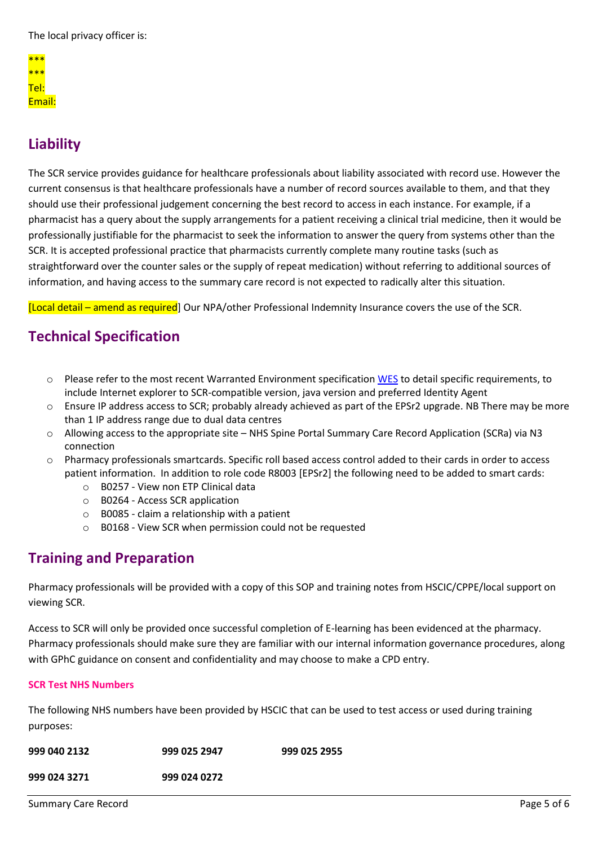The local privacy officer is:

| $***$  |  |  |
|--------|--|--|
| ***    |  |  |
| Tel:   |  |  |
| Email: |  |  |

# **Liability**

The SCR service provides guidance for healthcare professionals about liability associated with record use. However the current consensus is that healthcare professionals have a number of record sources available to them, and that they should use their professional judgement concerning the best record to access in each instance. For example, if a pharmacist has a query about the supply arrangements for a patient receiving a clinical trial medicine, then it would be professionally justifiable for the pharmacist to seek the information to answer the query from systems other than the SCR. It is accepted professional practice that pharmacists currently complete many routine tasks (such as straightforward over the counter sales or the supply of repeat medication) without referring to additional sources of information, and having access to the summary care record is not expected to radically alter this situation.

[Local detail – amend as required] Our NPA/other Professional Indemnity Insurance covers the use of the SCR.

## **Technical Specification**

- o Please refer to the most recent Warranted Environment specification [WES](http://systems.hscic.gov.uk/spine/future) to detail specific requirements, to include Internet explorer to SCR-compatible version, java version and preferred Identity Agent
- o Ensure IP address access to SCR; probably already achieved as part of the EPSr2 upgrade. NB There may be more than 1 IP address range due to dual data centres
- o Allowing access to the appropriate site NHS Spine Portal Summary Care Record Application (SCRa) via N3 connection
- o Pharmacy professionals smartcards. Specific roll based access control added to their cards in order to access patient information. In addition to role code R8003 [EPSr2] the following need to be added to smart cards:
	- o B0257 View non ETP Clinical data
	- o B0264 Access SCR application
	- o B0085 claim a relationship with a patient
	- o B0168 View SCR when permission could not be requested

## **Training and Preparation**

Pharmacy professionals will be provided with a copy of this SOP and training notes from HSCIC/CPPE/local support on viewing SCR.

Access to SCR will only be provided once successful completion of E-learning has been evidenced at the pharmacy. Pharmacy professionals should make sure they are familiar with our internal information governance procedures, along with GPhC guidance on consent and confidentiality and may choose to make a CPD entry.

### **SCR Test NHS Numbers**

The following NHS numbers have been provided by HSCIC that can be used to test access or used during training purposes:

| 999 040 2132 | 999 025 2947 | 999 025 2955 |
|--------------|--------------|--------------|
| 999 024 3271 | 999 024 0272 |              |